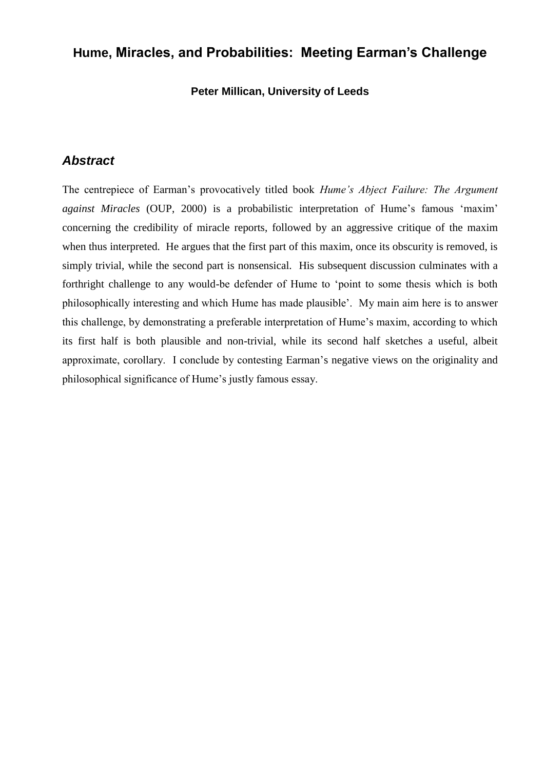# **Hume, Miracles, and Probabilities: Meeting Earman's Challenge**

**Peter Millican, University of Leeds**

#### *Abstract*

The centrepiece of Earman"s provocatively titled book *Hume's Abject Failure: The Argument*  against Miracles (OUP, 2000) is a probabilistic interpretation of Hume's famous 'maxim' concerning the credibility of miracle reports, followed by an aggressive critique of the maxim when thus interpreted. He argues that the first part of this maxim, once its obscurity is removed, is simply trivial, while the second part is nonsensical. His subsequent discussion culminates with a forthright challenge to any would-be defender of Hume to "point to some thesis which is both philosophically interesting and which Hume has made plausible". My main aim here is to answer this challenge, by demonstrating a preferable interpretation of Hume"s maxim, according to which its first half is both plausible and non-trivial, while its second half sketches a useful, albeit approximate, corollary. I conclude by contesting Earman"s negative views on the originality and philosophical significance of Hume"s justly famous essay.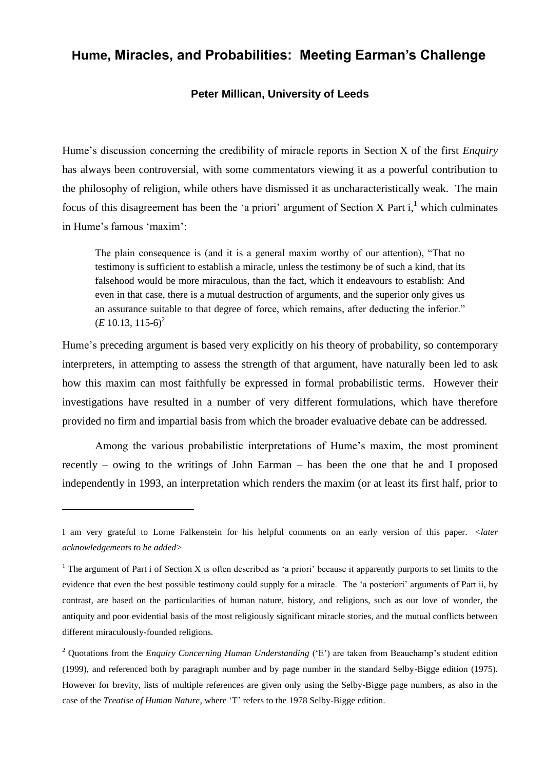## **Hume, Miracles, and Probabilities: Meeting Earman's Challenge**

#### **Peter Millican, University of Leeds**

Hume"s discussion concerning the credibility of miracle reports in Section X of the first *Enquiry* has always been controversial, with some commentators viewing it as a powerful contribution to the philosophy of religion, while others have dismissed it as uncharacteristically weak. The main focus of this disagreement has been the 'a priori' argument of Section X Part i,<sup>1</sup> which culminates in Hume's famous 'maxim':

The plain consequence is (and it is a general maxim worthy of our attention), "That no testimony is sufficient to establish a miracle, unless the testimony be of such a kind, that its falsehood would be more miraculous, than the fact, which it endeavours to establish: And even in that case, there is a mutual destruction of arguments, and the superior only gives us an assurance suitable to that degree of force, which remains, after deducting the inferior."  $(E 10.13, 115-6)^2$ 

Hume"s preceding argument is based very explicitly on his theory of probability, so contemporary interpreters, in attempting to assess the strength of that argument, have naturally been led to ask how this maxim can most faithfully be expressed in formal probabilistic terms. However their investigations have resulted in a number of very different formulations, which have therefore provided no firm and impartial basis from which the broader evaluative debate can be addressed.

Among the various probabilistic interpretations of Hume"s maxim, the most prominent recently – owing to the writings of John Earman – has been the one that he and I proposed independently in 1993, an interpretation which renders the maxim (or at least its first half, prior to

I am very grateful to Lorne Falkenstein for his helpful comments on an early version of this paper. *<later acknowledgements to be added>*

 $1$  The argument of Part i of Section X is often described as 'a priori' because it apparently purports to set limits to the evidence that even the best possible testimony could supply for a miracle. The 'a posteriori' arguments of Part ii, by contrast, are based on the particularities of human nature, history, and religions, such as our love of wonder, the antiquity and poor evidential basis of the most religiously significant miracle stories, and the mutual conflicts between different miraculously-founded religions.

<sup>&</sup>lt;sup>2</sup> Quotations from the *Enquiry Concerning Human Understanding* ('E') are taken from Beauchamp's student edition (1999), and referenced both by paragraph number and by page number in the standard Selby-Bigge edition (1975). However for brevity, lists of multiple references are given only using the Selby-Bigge page numbers, as also in the case of the *Treatise of Human Nature*, where "T" refers to the 1978 Selby-Bigge edition.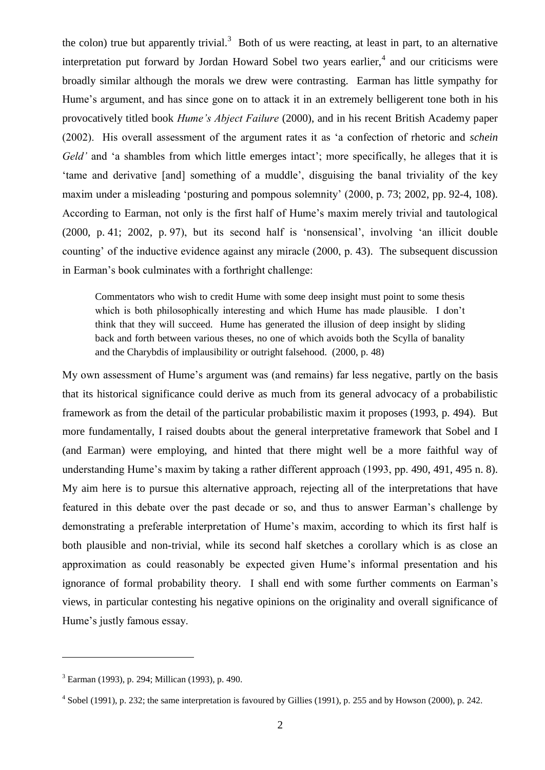the colon) true but apparently trivial.<sup>3</sup> Both of us were reacting, at least in part, to an alternative interpretation put forward by Jordan Howard Sobel two years earlier, $4$  and our criticisms were broadly similar although the morals we drew were contrasting. Earman has little sympathy for Hume's argument, and has since gone on to attack it in an extremely belligerent tone both in his provocatively titled book *Hume's Abject Failure* (2000), and in his recent British Academy paper (2002). His overall assessment of the argument rates it as "a confection of rhetoric and *schein Geld'* and 'a shambles from which little emerges intact'; more specifically, he alleges that it is "tame and derivative [and] something of a muddle", disguising the banal triviality of the key maxim under a misleading 'posturing and pompous solemnity' (2000, p. 73; 2002, pp. 92-4, 108). According to Earman, not only is the first half of Hume"s maxim merely trivial and tautological (2000, p. 41; 2002, p. 97), but its second half is "nonsensical", involving "an illicit double counting" of the inductive evidence against any miracle (2000, p. 43). The subsequent discussion in Earman"s book culminates with a forthright challenge:

Commentators who wish to credit Hume with some deep insight must point to some thesis which is both philosophically interesting and which Hume has made plausible. I don't think that they will succeed. Hume has generated the illusion of deep insight by sliding back and forth between various theses, no one of which avoids both the Scylla of banality and the Charybdis of implausibility or outright falsehood. (2000, p. 48)

My own assessment of Hume"s argument was (and remains) far less negative, partly on the basis that its historical significance could derive as much from its general advocacy of a probabilistic framework as from the detail of the particular probabilistic maxim it proposes (1993, p. 494). But more fundamentally, I raised doubts about the general interpretative framework that Sobel and I (and Earman) were employing, and hinted that there might well be a more faithful way of understanding Hume's maxim by taking a rather different approach (1993, pp. 490, 491, 495 n. 8). My aim here is to pursue this alternative approach, rejecting all of the interpretations that have featured in this debate over the past decade or so, and thus to answer Earman"s challenge by demonstrating a preferable interpretation of Hume"s maxim, according to which its first half is both plausible and non-trivial, while its second half sketches a corollary which is as close an approximation as could reasonably be expected given Hume"s informal presentation and his ignorance of formal probability theory. I shall end with some further comments on Earman"s views, in particular contesting his negative opinions on the originality and overall significance of Hume's justly famous essay.

<sup>3</sup> Earman (1993), p. 294; Millican (1993), p. 490.

 $4$  Sobel (1991), p. 232; the same interpretation is favoured by Gillies (1991), p. 255 and by Howson (2000), p. 242.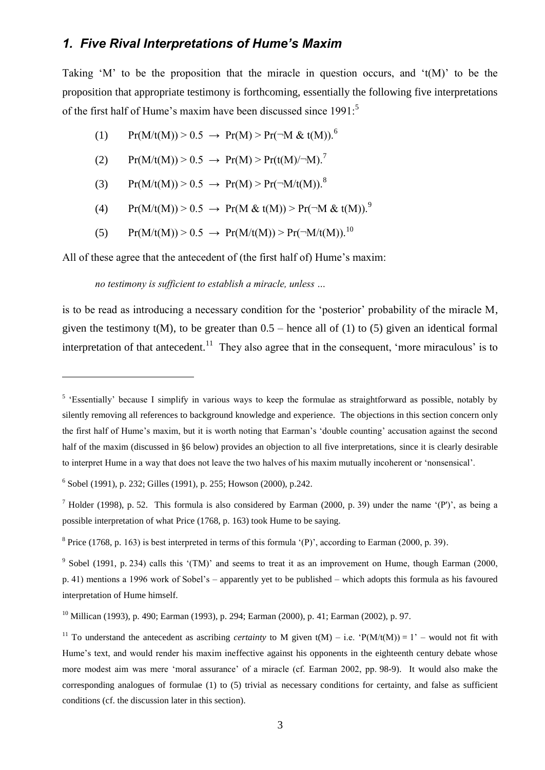### *1. Five Rival Interpretations of Hume's Maxim*

Taking 'M' to be the proposition that the miracle in question occurs, and  $\mathfrak{t}(M)$ ' to be the proposition that appropriate testimony is forthcoming, essentially the following five interpretations of the first half of Hume's maxim have been discussed since 1991:<sup>5</sup>

- <span id="page-3-0"></span>(1)  $Pr(M/t(M)) > 0.5 \rightarrow Pr(M) > Pr(\neg M \& t(M)).^6$
- (2)  $Pr(M/t(M)) > 0.5 \rightarrow Pr(M) > Pr(t(M)/-M)^7$
- (3)  $Pr(M/t(M)) > 0.5 \rightarrow Pr(M) > Pr(\neg M/t(M)).^8$
- (4) Pr(M/t(M)) > 0.5  $\rightarrow$  Pr(M & t(M)) > Pr( $\rightarrow$ M & t(M)).<sup>9</sup>
- (5)  $Pr(M/t(M)) > 0.5 \rightarrow Pr(M/t(M)) > Pr(\neg M/t(M))$ .<sup>10</sup>

All of these agree that the antecedent of (the first half of) Hume's maxim:

#### *no testimony is sufficient to establish a miracle, unless …*

is to be read as introducing a necessary condition for the 'posterior' probability of the miracle M, given the testimony  $t(M)$ , to be greater than  $0.5$  – hence all of (1) to (5) given an identical formal interpretation of that antecedent.<sup>11</sup> They also agree that in the consequent, 'more miraculous' is to

<sup>&</sup>lt;sup>5</sup> 'Essentially' because I simplify in various ways to keep the formulae as straightforward as possible, notably by silently removing all references to background knowledge and experience. The objections in this section concern only the first half of Hume"s maxim, but it is worth noting that Earman"s "double counting" accusation against the second half of the maxim (discussed in §6 below) provides an objection to all five interpretations, since it is clearly desirable to interpret Hume in a way that does not leave the two halves of his maxim mutually incoherent or "nonsensical".

<sup>6</sup> Sobel (1991), p. 232; Gilles (1991), p. 255; Howson (2000), p.242.

<sup>&</sup>lt;sup>7</sup> Holder (1998), p. 52. This formula is also considered by Earman (2000, p. 39) under the name '(P')', as being a possible interpretation of what Price (1768, p. 163) took Hume to be saying.

<sup>&</sup>lt;sup>8</sup> Price (1768, p. 163) is best interpreted in terms of this formula '(P)', according to Earman (2000, p. 39).

<sup>&</sup>lt;sup>9</sup> Sobel (1991, p. 234) calls this '(TM)' and seems to treat it as an improvement on Hume, though Earman (2000, p. 41) mentions a 1996 work of Sobel"s – apparently yet to be published – which adopts this formula as his favoured interpretation of Hume himself.

<sup>10</sup> Millican (1993), p. 490; Earman (1993), p. 294; Earman (2000), p. 41; Earman (2002), p. 97.

<sup>&</sup>lt;sup>11</sup> To understand the antecedent as ascribing *certainty* to M given t(M) – i.e.  $P(M/t(M)) = 1$ ' – would not fit with Hume's text, and would render his maxim ineffective against his opponents in the eighteenth century debate whose more modest aim was mere "moral assurance" of a miracle (cf. Earman 2002, pp. 98-9). It would also make the corresponding analogues of formulae (1) to (5) trivial as necessary conditions for certainty, and false as sufficient conditions (cf. the discussion later in this section).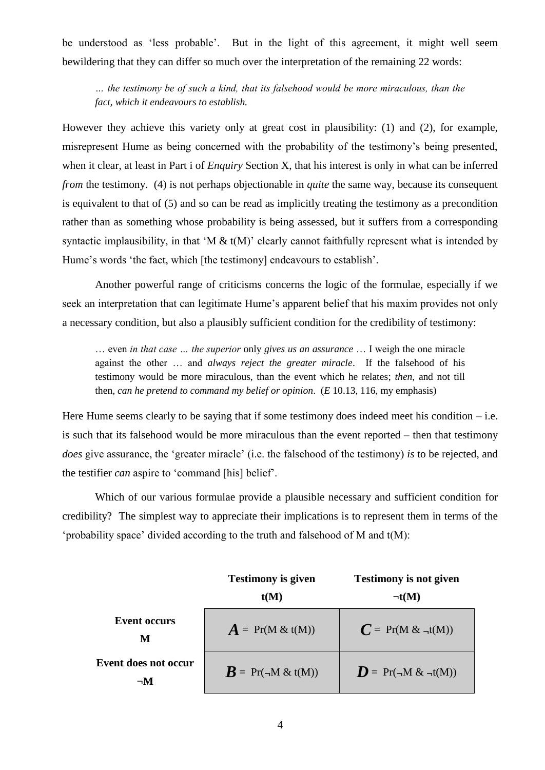be understood as "less probable". But in the light of this agreement, it might well seem bewildering that they can differ so much over the interpretation of the remaining 22 words:

*… the testimony be of such a kind, that its falsehood would be more miraculous, than the fact, which it endeavours to establish.*

However they achieve this variety only at great cost in plausibility: (1) and (2), for example, misrepresent Hume as being concerned with the probability of the testimony"s being presented, when it clear, at least in Part i of *Enquiry* Section X, that his interest is only in what can be inferred *from* the testimony. (4) is not perhaps objectionable in *quite* the same way, because its consequent is equivalent to that of (5) and so can be read as implicitly treating the testimony as a precondition rather than as something whose probability is being assessed, but it suffers from a corresponding syntactic implausibility, in that 'M  $\&$  t(M)' clearly cannot faithfully represent what is intended by Hume's words 'the fact, which [the testimony] endeavours to establish'.

Another powerful range of criticisms concerns the logic of the formulae, especially if we seek an interpretation that can legitimate Hume's apparent belief that his maxim provides not only a necessary condition, but also a plausibly sufficient condition for the credibility of testimony:

… even *in that case … the superior* only *gives us an assurance* … I weigh the one miracle against the other … and *always reject the greater miracle*. If the falsehood of his testimony would be more miraculous, than the event which he relates; *then*, and not till then, *can he pretend to command my belief or opinion*. (*E* 10.13, 116, my emphasis)

Here Hume seems clearly to be saying that if some testimony does indeed meet his condition  $-$  i.e. is such that its falsehood would be more miraculous than the event reported – then that testimony *does* give assurance, the "greater miracle" (i.e. the falsehood of the testimony) *is* to be rejected, and the testifier *can* aspire to "command [his] belief".

Which of our various formulae provide a plausible necessary and sufficient condition for credibility? The simplest way to appreciate their implications is to represent them in terms of the 'probability space' divided according to the truth and falsehood of M and  $t(M)$ :

|                                  | <b>Testimony is given</b><br>t(M)      | <b>Testimony is not given</b><br>$\neg$ t(M) |
|----------------------------------|----------------------------------------|----------------------------------------------|
| <b>Event occurs</b><br>M         | $\boldsymbol{A} = Pr(M \& t(M))$       | $C = Pr(M \& \neg t(M))$                     |
| Event does not occur<br>$\neg M$ | $\boldsymbol{R} = \Pr(\neg M \& t(M))$ | $\mathbf{D} = \Pr(\neg M \& \neg t(M))$      |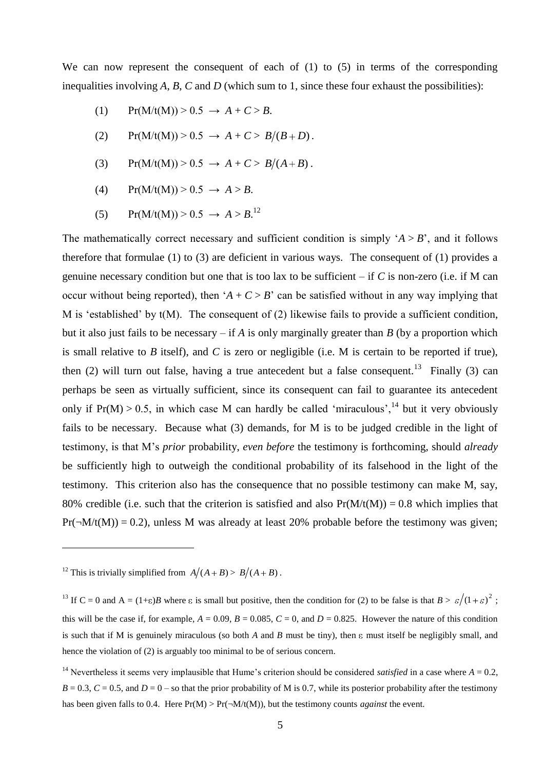We can now represent the consequent of each of (1) to (5) in terms of the corresponding inequalities involving *A*, *B*, *C* and *D* (which sum to 1, since these four exhaust the possibilities):

- (1)  $Pr(M/t(M)) > 0.5 \rightarrow A + C > B$ .
- (2)  $\Pr(M/t(M)) > 0.5 \rightarrow A + C > B/(B+D)$ .
- (3)  $\Pr(M/t(M)) > 0.5 \rightarrow A + C > B/(A+B)$ .
- (4) Pr(M/t(M)) >  $0.5 \to A > B$ .
- (5)  $Pr(M/t(M)) > 0.5 \rightarrow A > B$ <sup>12</sup>

The mathematically correct necessary and sufficient condition is simply  $A > B'$ , and it follows therefore that formulae (1) to (3) are deficient in various ways. The consequent of (1) provides a genuine necessary condition but one that is too lax to be sufficient – if *C* is non-zero (i.e. if M can occur without being reported), then  $A + C > B'$  can be satisfied without in any way implying that M is 'established' by  $t(M)$ . The consequent of (2) likewise fails to provide a sufficient condition, but it also just fails to be necessary – if *A* is only marginally greater than *B* (by a proportion which is small relative to *B* itself), and *C* is zero or negligible (i.e. M is certain to be reported if true), then  $(2)$  will turn out false, having a true antecedent but a false consequent.<sup>13</sup> Finally  $(3)$  can perhaps be seen as virtually sufficient, since its consequent can fail to guarantee its antecedent only if  $Pr(M) > 0.5$ , in which case M can hardly be called 'miraculous',<sup>14</sup> but it very obviously fails to be necessary. Because what (3) demands, for M is to be judged credible in the light of testimony, is that M"s *prior* probability, *even before* the testimony is forthcoming, should *already* be sufficiently high to outweigh the conditional probability of its falsehood in the light of the testimony. This criterion also has the consequence that no possible testimony can make M, say, 80% credible (i.e. such that the criterion is satisfied and also  $Pr(M/t(M)) = 0.8$  which implies that  $Pr(\neg M/t(M)) = 0.2)$ , unless M was already at least 20% probable before the testimony was given;

<sup>&</sup>lt;sup>12</sup> This is trivially simplified from  $A/(A+B) > B/(A+B)$ .

<sup>&</sup>lt;sup>13</sup> If C = 0 and A = (1+ $\varepsilon$ )*B* where  $\varepsilon$  is small but positive, then the condition for (2) to be false is that  $B > \varepsilon/(1+\varepsilon)^2$ ; this will be the case if, for example,  $A = 0.09$ ,  $B = 0.085$ ,  $C = 0$ , and  $D = 0.825$ . However the nature of this condition is such that if M is genuinely miraculous (so both  $A$  and  $B$  must be tiny), then  $\varepsilon$  must itself be negligibly small, and hence the violation of (2) is arguably too minimal to be of serious concern.

<sup>&</sup>lt;sup>14</sup> Nevertheless it seems very implausible that Hume's criterion should be considered *satisfied* in a case where  $A = 0.2$ ,  $B = 0.3$ ,  $C = 0.5$ , and  $D = 0$  – so that the prior probability of M is 0.7, while its posterior probability after the testimony has been given falls to 0.4. Here  $Pr(M) > Pr(\neg M/t(M))$ , but the testimony counts *against* the event.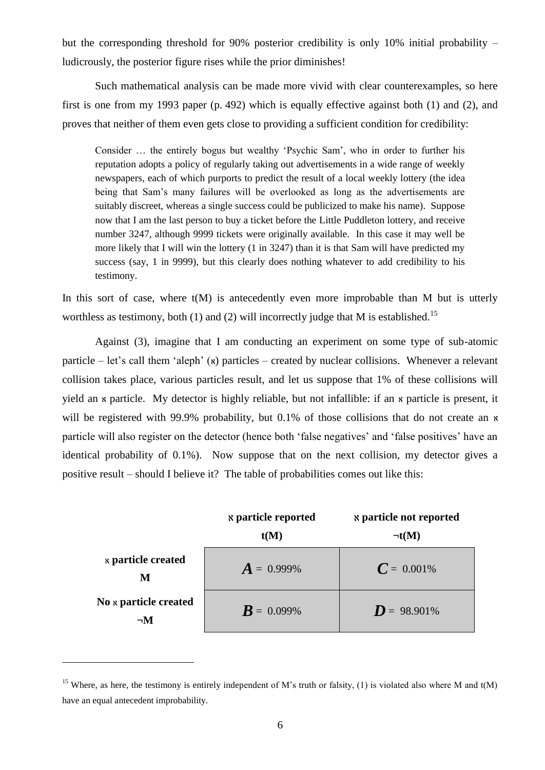but the corresponding threshold for 90% posterior credibility is only 10% initial probability – ludicrously, the posterior figure rises while the prior diminishes!

Such mathematical analysis can be made more vivid with clear counterexamples, so here first is one from my 1993 paper (p. 492) which is equally effective against both (1) and (2), and proves that neither of them even gets close to providing a sufficient condition for credibility:

Consider … the entirely bogus but wealthy "Psychic Sam", who in order to further his reputation adopts a policy of regularly taking out advertisements in a wide range of weekly newspapers, each of which purports to predict the result of a local weekly lottery (the idea being that Sam"s many failures will be overlooked as long as the advertisements are suitably discreet, whereas a single success could be publicized to make his name). Suppose now that I am the last person to buy a ticket before the Little Puddleton lottery, and receive number 3247, although 9999 tickets were originally available. In this case it may well be more likely that I will win the lottery (1 in 3247) than it is that Sam will have predicted my success (say, 1 in 9999), but this clearly does nothing whatever to add credibility to his testimony.

In this sort of case, where  $t(M)$  is antecedently even more improbable than M but is utterly worthless as testimony, both (1) and (2) will incorrectly judge that M is established.<sup>15</sup>

Against (3), imagine that I am conducting an experiment on some type of sub-atomic particle – let's call them 'aleph'  $(x)$  particles – created by nuclear collisions. Whenever a relevant collision takes place, various particles result, and let us suppose that 1% of these collisions will yield an *x* particle. My detector is highly reliable, but not infallible: if an *x* particle is present, it will be registered with 99.9% probability, but 0.1% of those collisions that do not create an  $\kappa$ particle will also register on the detector (hence both "false negatives" and "false positives" have an identical probability of 0.1%). Now suppose that on the next collision, my detector gives a positive result – should I believe it? The table of probabilities comes out like this:

|                                       | <b>s</b> particle reported<br>t(M) | <b>&amp; particle not reported</b><br>$\neg$ t(M) |
|---------------------------------------|------------------------------------|---------------------------------------------------|
| <b><i>x</i></b> particle created<br>M | $A = 0.999\%$                      | $C = 0.001\%$                                     |
| No x particle created<br>$\neg M$     | $\bm{R} = 0.099\%$                 | $D = 98.901\%$                                    |

<sup>&</sup>lt;sup>15</sup> Where, as here, the testimony is entirely independent of M's truth or falsity, (1) is violated also where M and  $t(M)$ have an equal antecedent improbability.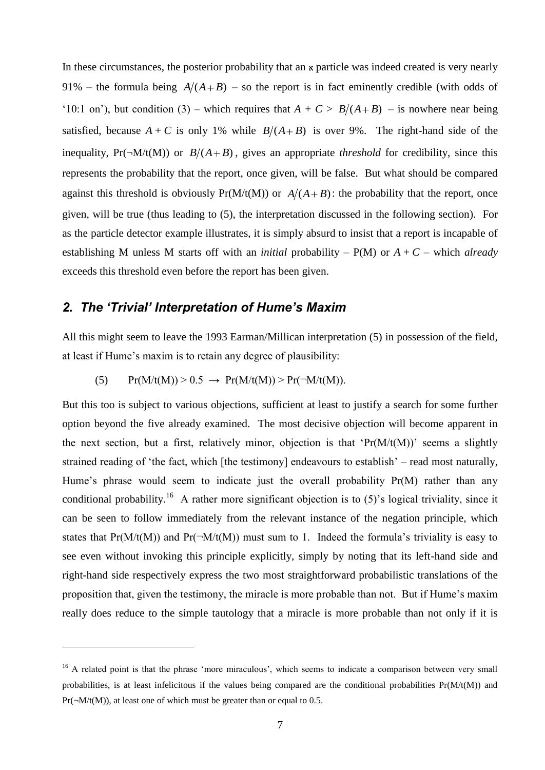In these circumstances, the posterior probability that an  $\kappa$  particle was indeed created is very nearly 91% – the formula being  $A/(A+B)$  – so the report is in fact eminently credible (with odds of '10:1 on'), but condition (3) – which requires that  $A + C > B/(A+B)$  – is nowhere near being satisfied, because  $A + C$  is only 1% while  $B/(A+B)$  is over 9%. The right-hand side of the inequality,  $Pr(\neg M/t(M))$  or  $B/(A+B)$ , gives an appropriate *threshold* for credibility, since this represents the probability that the report, once given, will be false. But what should be compared against this threshold is obviously  $Pr(M/t(M))$  or  $A/(A+B)$ : the probability that the report, once given, will be true (thus leading to (5), the interpretation discussed in the following section). For as the particle detector example illustrates, it is simply absurd to insist that a report is incapable of establishing M unless M starts off with an *initial* probability – P(M) or *A* + *C* – which *already* exceeds this threshold even before the report has been given.

# *2. The 'Trivial' Interpretation of Hume's Maxim*

 $\overline{a}$ 

All this might seem to leave the 1993 Earman/Millican interpretation (5) in possession of the field, at least if Hume"s maxim is to retain any degree of plausibility:

<span id="page-7-0"></span>
$$
(5) \qquad Pr(M/t(M)) > 0.5 \ \rightarrow \ Pr(M/t(M)) > Pr(\neg M/t(M)).
$$

But this too is subject to various objections, sufficient at least to justify a search for some further option beyond the five already examined. The most decisive objection will become apparent in the next section, but a first, relatively minor, objection is that ' $Pr(M/t(M))$ ' seems a slightly strained reading of 'the fact, which [the testimony] endeavours to establish' – read most naturally, Hume's phrase would seem to indicate just the overall probability  $Pr(M)$  rather than any conditional probability.<sup>16</sup> A rather more significant objection is to  $(5)$ 's logical triviality, since it can be seen to follow immediately from the relevant instance of the negation principle, which states that  $Pr(M/t(M))$  and  $Pr(\neg M/t(M))$  must sum to 1. Indeed the formula's triviality is easy to see even without invoking this principle explicitly, simply by noting that its left-hand side and right-hand side respectively express the two most straightforward probabilistic translations of the proposition that, given the testimony, the miracle is more probable than not. But if Hume"s maxim really does reduce to the simple tautology that a miracle is more probable than not only if it is

<sup>&</sup>lt;sup>16</sup> A related point is that the phrase 'more miraculous', which seems to indicate a comparison between very small probabilities, is at least infelicitous if the values being compared are the conditional probabilities  $Pr(M(t(M))$  and  $Pr(\neg M/t(M))$ , at least one of which must be greater than or equal to 0.5.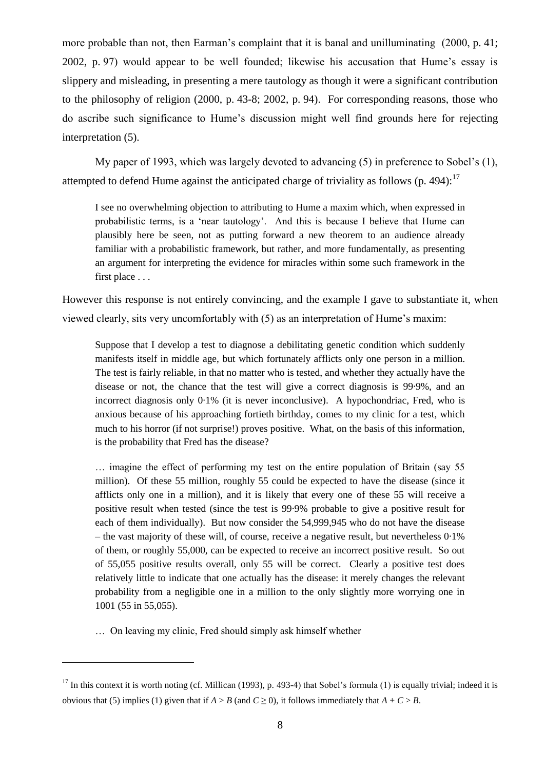more probable than not, then Earman's complaint that it is banal and unilluminating (2000, p. 41; 2002, p. 97) would appear to be well founded; likewise his accusation that Hume"s essay is slippery and misleading, in presenting a mere tautology as though it were a significant contribution to the philosophy of religion (2000, p. 43-8; 2002, p. 94). For corresponding reasons, those who do ascribe such significance to Hume"s discussion might well find grounds here for rejecting interpretation (5).

My paper of 1993, which was largely devoted to advancing (5) in preference to Sobel"s (1), attempted to defend Hume against the anticipated charge of triviality as follows (p. 494): $^{17}$ 

I see no overwhelming objection to attributing to Hume a maxim which, when expressed in probabilistic terms, is a "near tautology". And this is because I believe that Hume can plausibly here be seen, not as putting forward a new theorem to an audience already familiar with a probabilistic framework, but rather, and more fundamentally, as presenting an argument for interpreting the evidence for miracles within some such framework in the first place . . .

However this response is not entirely convincing, and the example I gave to substantiate it, when viewed clearly, sits very uncomfortably with (5) as an interpretation of Hume"s maxim:

Suppose that I develop a test to diagnose a debilitating genetic condition which suddenly manifests itself in middle age, but which fortunately afflicts only one person in a million. The test is fairly reliable, in that no matter who is tested, and whether they actually have the disease or not, the chance that the test will give a correct diagnosis is 99·9%, and an incorrect diagnosis only 0·1% (it is never inconclusive). A hypochondriac, Fred, who is anxious because of his approaching fortieth birthday, comes to my clinic for a test, which much to his horror (if not surprise!) proves positive. What, on the basis of this information, is the probability that Fred has the disease?

… imagine the effect of performing my test on the entire population of Britain (say 55 million). Of these 55 million, roughly 55 could be expected to have the disease (since it afflicts only one in a million), and it is likely that every one of these 55 will receive a positive result when tested (since the test is 99·9% probable to give a positive result for each of them individually). But now consider the 54,999,945 who do not have the disease – the vast majority of these will, of course, receive a negative result, but nevertheless 0·1% of them, or roughly 55,000, can be expected to receive an incorrect positive result. So out of 55,055 positive results overall, only 55 will be correct. Clearly a positive test does relatively little to indicate that one actually has the disease: it merely changes the relevant probability from a negligible one in a million to the only slightly more worrying one in 1001 (55 in 55,055).

… On leaving my clinic, Fred should simply ask himself whether

 $17$  In this context it is worth noting (cf. Millican (1993), p. 493-4) that Sobel's formula (1) is equally trivial; indeed it is obvious that (5) implies (1) given that if  $A > B$  (and  $C \ge 0$ ), it follows immediately that  $A + C > B$ .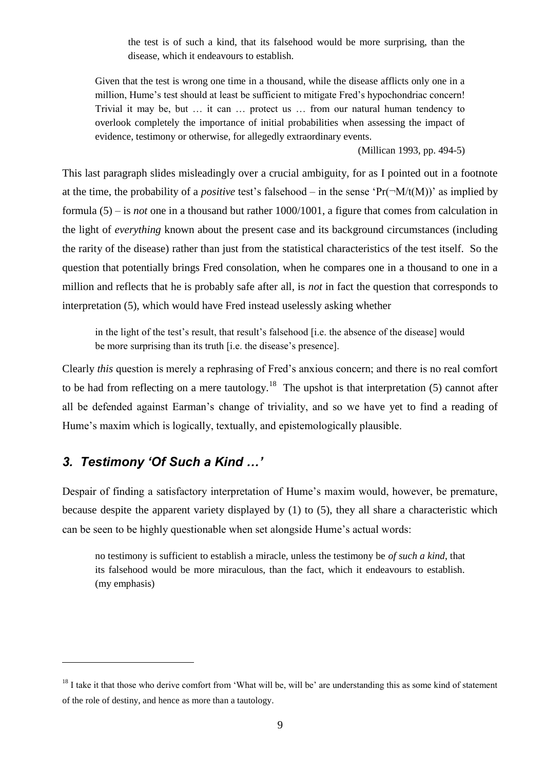the test is of such a kind, that its falsehood would be more surprising, than the disease, which it endeavours to establish.

Given that the test is wrong one time in a thousand, while the disease afflicts only one in a million, Hume's test should at least be sufficient to mitigate Fred's hypochondriac concern! Trivial it may be, but … it can … protect us … from our natural human tendency to overlook completely the importance of initial probabilities when assessing the impact of evidence, testimony or otherwise, for allegedly extraordinary events.

(Millican 1993, pp. 494-5)

This last paragraph slides misleadingly over a crucial ambiguity, for as I pointed out in a footnote at the time, the probability of a *positive* test's falsehood – in the sense ' $Pr(\neg M/t(M))$ ' as implied by formula (5) – is *not* one in a thousand but rather 1000/1001, a figure that comes from calculation in the light of *everything* known about the present case and its background circumstances (including the rarity of the disease) rather than just from the statistical characteristics of the test itself. So the question that potentially brings Fred consolation, when he compares one in a thousand to one in a million and reflects that he is probably safe after all, is *not* in fact the question that corresponds to interpretation (5), which would have Fred instead uselessly asking whether

in the light of the test's result, that result's falsehood [i.e. the absence of the disease] would be more surprising than its truth [i.e. the disease's presence].

Clearly *this* question is merely a rephrasing of Fred"s anxious concern; and there is no real comfort to be had from reflecting on a mere tautology.<sup>18</sup> The upshot is that interpretation (5) cannot after all be defended against Earman"s change of triviality, and so we have yet to find a reading of Hume"s maxim which is logically, textually, and epistemologically plausible.

# *3. Testimony 'Of Such a Kind …'*

 $\overline{a}$ 

Despair of finding a satisfactory interpretation of Hume's maxim would, however, be premature, because despite the apparent variety displayed by (1) to (5), they all share a characteristic which can be seen to be highly questionable when set alongside Hume"s actual words:

no testimony is sufficient to establish a miracle, unless the testimony be *of such a kind*, that its falsehood would be more miraculous, than the fact, which it endeavours to establish. (my emphasis)

 $18$  I take it that those who derive comfort from 'What will be, will be' are understanding this as some kind of statement of the role of destiny, and hence as more than a tautology.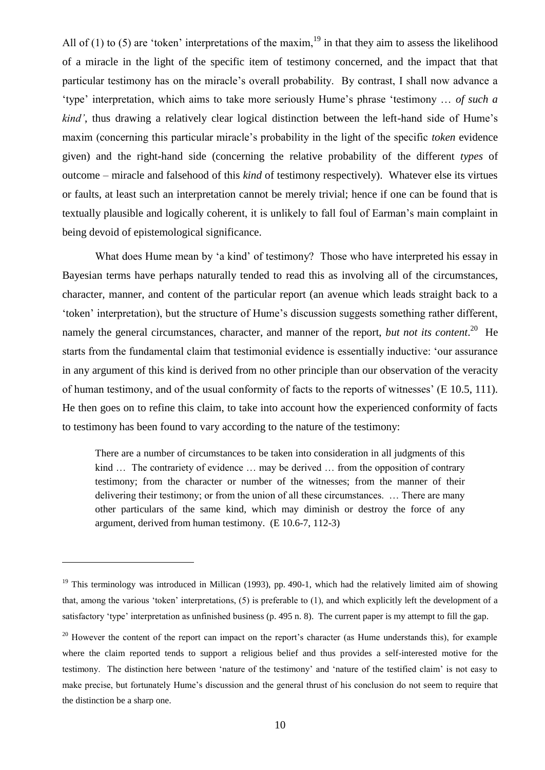All of (1) to (5) are 'token' interpretations of the maxim,  $^{19}$  in that they aim to assess the likelihood of a miracle in the light of the specific item of testimony concerned, and the impact that that particular testimony has on the miracle"s overall probability. By contrast, I shall now advance a "type" interpretation, which aims to take more seriously Hume"s phrase "testimony … *of such a kind'*, thus drawing a relatively clear logical distinction between the left-hand side of Hume's maxim (concerning this particular miracle"s probability in the light of the specific *token* evidence given) and the right-hand side (concerning the relative probability of the different *types* of outcome – miracle and falsehood of this *kind* of testimony respectively). Whatever else its virtues or faults, at least such an interpretation cannot be merely trivial; hence if one can be found that is textually plausible and logically coherent, it is unlikely to fall foul of Earman"s main complaint in being devoid of epistemological significance.

What does Hume mean by 'a kind' of testimony? Those who have interpreted his essay in Bayesian terms have perhaps naturally tended to read this as involving all of the circumstances, character, manner, and content of the particular report (an avenue which leads straight back to a "token" interpretation), but the structure of Hume"s discussion suggests something rather different, namely the general circumstances, character, and manner of the report, *but not its content*.<sup>20</sup> He starts from the fundamental claim that testimonial evidence is essentially inductive: "our assurance in any argument of this kind is derived from no other principle than our observation of the veracity of human testimony, and of the usual conformity of facts to the reports of witnesses" (E 10.5, 111). He then goes on to refine this claim, to take into account how the experienced conformity of facts to testimony has been found to vary according to the nature of the testimony:

There are a number of circumstances to be taken into consideration in all judgments of this kind ... The contrariety of evidence ... may be derived ... from the opposition of contrary testimony; from the character or number of the witnesses; from the manner of their delivering their testimony; or from the union of all these circumstances. … There are many other particulars of the same kind, which may diminish or destroy the force of any argument, derived from human testimony. (E 10.6-7, 112-3)

<sup>&</sup>lt;sup>19</sup> This terminology was introduced in Millican (1993), pp. 490-1, which had the relatively limited aim of showing that, among the various "token" interpretations, (5) is preferable to (1), and which explicitly left the development of a satisfactory 'type' interpretation as unfinished business (p. 495 n. 8). The current paper is my attempt to fill the gap.

<sup>&</sup>lt;sup>20</sup> However the content of the report can impact on the report's character (as Hume understands this), for example where the claim reported tends to support a religious belief and thus provides a self-interested motive for the testimony. The distinction here between "nature of the testimony" and "nature of the testified claim" is not easy to make precise, but fortunately Hume's discussion and the general thrust of his conclusion do not seem to require that the distinction be a sharp one.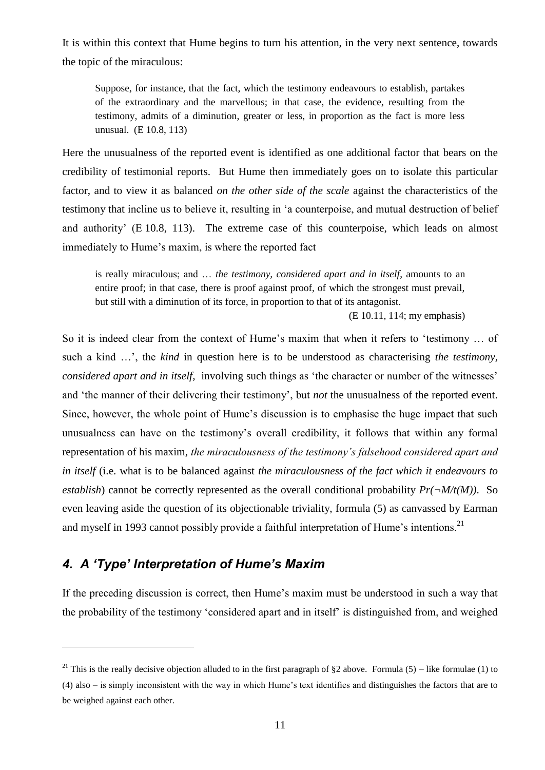It is within this context that Hume begins to turn his attention, in the very next sentence, towards the topic of the miraculous:

Suppose, for instance, that the fact, which the testimony endeavours to establish, partakes of the extraordinary and the marvellous; in that case, the evidence, resulting from the testimony, admits of a diminution, greater or less, in proportion as the fact is more less unusual. (E 10.8, 113)

Here the unusualness of the reported event is identified as one additional factor that bears on the credibility of testimonial reports. But Hume then immediately goes on to isolate this particular factor, and to view it as balanced *on the other side of the scale* against the characteristics of the testimony that incline us to believe it, resulting in "a counterpoise, and mutual destruction of belief and authority" (E 10.8, 113). The extreme case of this counterpoise, which leads on almost immediately to Hume's maxim, is where the reported fact

is really miraculous; and … *the testimony, considered apart and in itself*, amounts to an entire proof; in that case, there is proof against proof, of which the strongest must prevail, but still with a diminution of its force, in proportion to that of its antagonist.

(E 10.11, 114; my emphasis)

So it is indeed clear from the context of Hume's maxim that when it refers to 'testimony ... of such a kind …", the *kind* in question here is to be understood as characterising *the testimony, considered apart and in itself*, involving such things as 'the character or number of the witnesses' and 'the manner of their delivering their testimony', but *not* the unusualness of the reported event. Since, however, the whole point of Hume's discussion is to emphasise the huge impact that such unusualness can have on the testimony"s overall credibility, it follows that within any formal representation of his maxim, *the miraculousness of the testimony's falsehood considered apart and in itself* (i.e. what is to be balanced against *the miraculousness of the fact which it endeavours to establish*) cannot be correctly represented as the overall conditional probability  $Pr(\neg M/t(M))$ . So even leaving aside the question of its objectionable triviality, formula (5) as canvassed by Earman and myself in 1993 cannot possibly provide a faithful interpretation of Hume's intentions.<sup>21</sup>

## *4. A 'Type' Interpretation of Hume's Maxim*

 $\overline{a}$ 

If the preceding discussion is correct, then Hume"s maxim must be understood in such a way that the probability of the testimony "considered apart and in itself" is distinguished from, and weighed

<sup>&</sup>lt;sup>21</sup> This is the really decisive objection alluded to in the first paragraph of §2 above. Formula (5) – like formulae (1) to (4) also – is simply inconsistent with the way in which Hume"s text identifies and distinguishes the factors that are to be weighed against each other.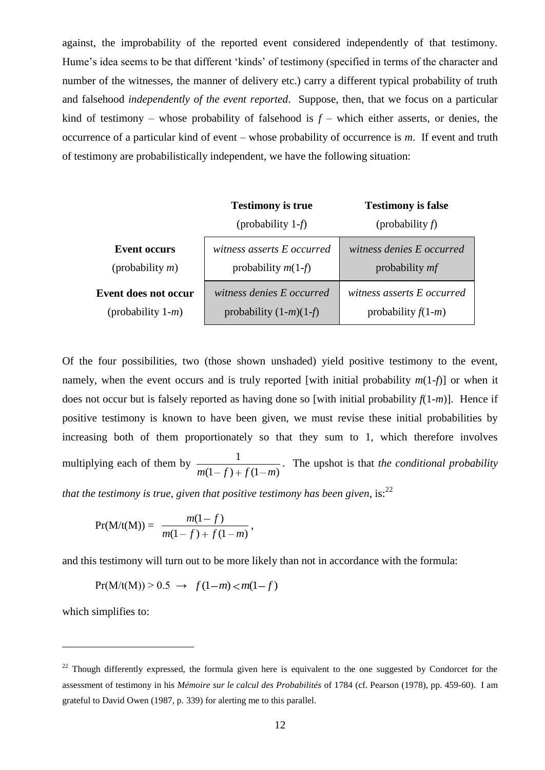against, the improbability of the reported event considered independently of that testimony. Hume's idea seems to be that different 'kinds' of testimony (specified in terms of the character and number of the witnesses, the manner of delivery etc.) carry a different typical probability of truth and falsehood *independently of the event reported*. Suppose, then, that we focus on a particular kind of testimony – whose probability of falsehood is  $f$  – which either asserts, or denies, the occurrence of a particular kind of event – whose probability of occurrence is *m*. If event and truth of testimony are probabilistically independent, we have the following situation:

|                      | <b>Testimony is true</b>   | <b>Testimony is false</b>  |  |  |
|----------------------|----------------------------|----------------------------|--|--|
|                      | (probability $1-f$ )       | (probability $f$ )         |  |  |
| <b>Event occurs</b>  | witness asserts E occurred | witness denies E occurred  |  |  |
| (probability $m$ )   | probability $m(1-f)$       | probability <i>mf</i>      |  |  |
| Event does not occur | witness denies E occurred  | witness asserts E occurred |  |  |
| (probability $1-m$ ) | probability $(1-m)(1-f)$   | probability $f(1-m)$       |  |  |

Of the four possibilities, two (those shown unshaded) yield positive testimony to the event, namely, when the event occurs and is truly reported [with initial probability  $m(1-f)$ ] or when it does not occur but is falsely reported as having done so [with initial probability  $f(1-m)$ ]. Hence if positive testimony is known to have been given, we must revise these initial probabilities by increasing both of them proportionately so that they sum to 1, which therefore involves multiplying each of them by  $(1-f) + f(1-m)$ 1  $m(1-f) + f(1-m)$ . The upshot is that *the conditional probability that the testimony is true, given that positive testimony has been given,* is:<sup>22</sup>

$$
Pr(M/t(M)) = \frac{m(1-f)}{m(1-f) + f(1-m)},
$$

and this testimony will turn out to be more likely than not in accordance with the formula:

 $Pr(M/t(M)) > 0.5 \rightarrow f(1-m) < m(1-f)$ 

which simplifies to:

 $^{22}$  Though differently expressed, the formula given here is equivalent to the one suggested by Condorcet for the assessment of testimony in his *Mémoire sur le calcul des Probabilités* of 1784 (cf. Pearson (1978), pp. 459-60). I am grateful to David Owen (1987, p. 339) for alerting me to this parallel.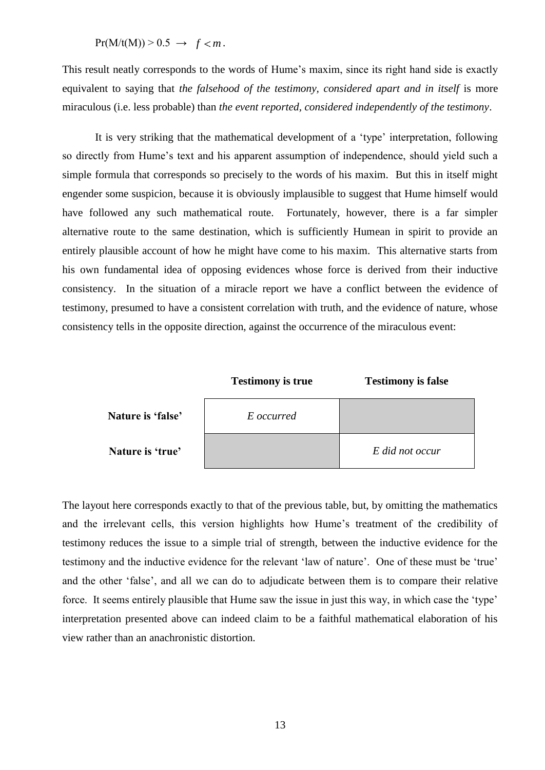$Pr(M/t(M)) > 0.5 \rightarrow f < m$ .

This result neatly corresponds to the words of Hume"s maxim, since its right hand side is exactly equivalent to saying that *the falsehood of the testimony, considered apart and in itself* is more miraculous (i.e. less probable) than *the event reported, considered independently of the testimony*.

It is very striking that the mathematical development of a 'type' interpretation, following so directly from Hume's text and his apparent assumption of independence, should yield such a simple formula that corresponds so precisely to the words of his maxim. But this in itself might engender some suspicion, because it is obviously implausible to suggest that Hume himself would have followed any such mathematical route. Fortunately, however, there is a far simpler alternative route to the same destination, which is sufficiently Humean in spirit to provide an entirely plausible account of how he might have come to his maxim. This alternative starts from his own fundamental idea of opposing evidences whose force is derived from their inductive consistency. In the situation of a miracle report we have a conflict between the evidence of testimony, presumed to have a consistent correlation with truth, and the evidence of nature, whose consistency tells in the opposite direction, against the occurrence of the miraculous event:



The layout here corresponds exactly to that of the previous table, but, by omitting the mathematics and the irrelevant cells, this version highlights how Hume's treatment of the credibility of testimony reduces the issue to a simple trial of strength, between the inductive evidence for the testimony and the inductive evidence for the relevant "law of nature". One of these must be "true" and the other "false", and all we can do to adjudicate between them is to compare their relative force. It seems entirely plausible that Hume saw the issue in just this way, in which case the "type" interpretation presented above can indeed claim to be a faithful mathematical elaboration of his view rather than an anachronistic distortion.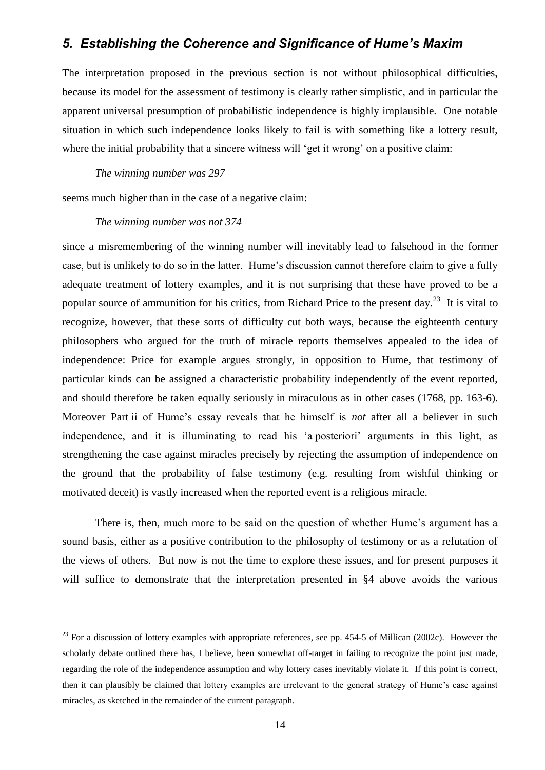### *5. Establishing the Coherence and Significance of Hume's Maxim*

The interpretation proposed in the previous section is not without philosophical difficulties, because its model for the assessment of testimony is clearly rather simplistic, and in particular the apparent universal presumption of probabilistic independence is highly implausible. One notable situation in which such independence looks likely to fail is with something like a lottery result, where the initial probability that a sincere witness will 'get it wrong' on a positive claim:

#### *The winning number was 297*

seems much higher than in the case of a negative claim:

#### *The winning number was not 374*

 $\overline{a}$ 

since a misremembering of the winning number will inevitably lead to falsehood in the former case, but is unlikely to do so in the latter. Hume"s discussion cannot therefore claim to give a fully adequate treatment of lottery examples, and it is not surprising that these have proved to be a popular source of ammunition for his critics, from Richard Price to the present day.<sup>23</sup> It is vital to recognize, however, that these sorts of difficulty cut both ways, because the eighteenth century philosophers who argued for the truth of miracle reports themselves appealed to the idea of independence: Price for example argues strongly, in opposition to Hume, that testimony of particular kinds can be assigned a characteristic probability independently of the event reported, and should therefore be taken equally seriously in miraculous as in other cases (1768, pp. 163-6). Moreover Part ii of Hume"s essay reveals that he himself is *not* after all a believer in such independence, and it is illuminating to read his 'a posteriori' arguments in this light, as strengthening the case against miracles precisely by rejecting the assumption of independence on the ground that the probability of false testimony (e.g. resulting from wishful thinking or motivated deceit) is vastly increased when the reported event is a religious miracle.

There is, then, much more to be said on the question of whether Hume's argument has a sound basis, either as a positive contribution to the philosophy of testimony or as a refutation of the views of others. But now is not the time to explore these issues, and for present purposes it will suffice to demonstrate that the interpretation presented in §4 above avoids the various

 $^{23}$  For a discussion of lottery examples with appropriate references, see pp. 454-5 of Millican (2002c). However the scholarly debate outlined there has, I believe, been somewhat off-target in failing to recognize the point just made, regarding the role of the independence assumption and why lottery cases inevitably violate it. If this point is correct, then it can plausibly be claimed that lottery examples are irrelevant to the general strategy of Hume"s case against miracles, as sketched in the remainder of the current paragraph.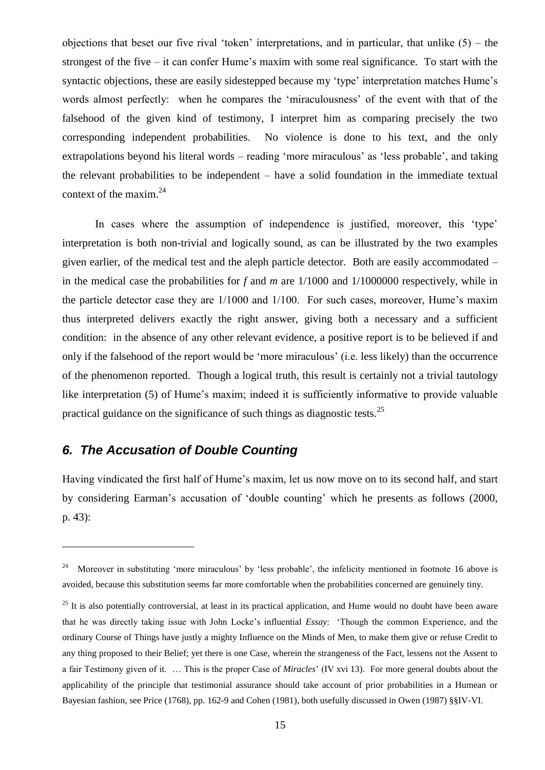objections that beset our five rival 'token' interpretations, and in particular, that unlike  $(5)$  – the strongest of the five – it can confer Hume"s maxim with some real significance. To start with the syntactic objections, these are easily sidestepped because my 'type' interpretation matches Hume's words almost perfectly: when he compares the 'miraculousness' of the event with that of the falsehood of the given kind of testimony, I interpret him as comparing precisely the two corresponding independent probabilities. No violence is done to his text, and the only extrapolations beyond his literal words – reading 'more miraculous' as 'less probable', and taking the relevant probabilities to be independent – have a solid foundation in the immediate textual context of the maxim.<sup>24</sup>

In cases where the assumption of independence is justified, moreover, this 'type' interpretation is both non-trivial and logically sound, as can be illustrated by the two examples given earlier, of the medical test and the aleph particle detector. Both are easily accommodated – in the medical case the probabilities for *f* and *m* are 1/1000 and 1/1000000 respectively, while in the particle detector case they are  $1/1000$  and  $1/100$ . For such cases, moreover, Hume's maxim thus interpreted delivers exactly the right answer, giving both a necessary and a sufficient condition: in the absence of any other relevant evidence, a positive report is to be believed if and only if the falsehood of the report would be "more miraculous" (i.e. less likely) than the occurrence of the phenomenon reported. Though a logical truth, this result is certainly not a trivial tautology like interpretation (5) of Hume's maxim; indeed it is sufficiently informative to provide valuable practical guidance on the significance of such things as diagnostic tests.<sup>25</sup>

## <span id="page-15-0"></span>*6. The Accusation of Double Counting*

 $\overline{a}$ 

Having vindicated the first half of Hume"s maxim, let us now move on to its second half, and start by considering Earman"s accusation of "double counting" which he presents as follows (2000, p. 43):

<sup>24</sup> Moreover in substituting 'more miraculous' by 'less probable', the infelicity mentioned in footnote [16](#page-7-0) above is avoided, because this substitution seems far more comfortable when the probabilities concerned are genuinely tiny.

 $25$  It is also potentially controversial, at least in its practical application, and Hume would no doubt have been aware that he was directly taking issue with John Locke"s influential *Essay*: "Though the common Experience, and the ordinary Course of Things have justly a mighty Influence on the Minds of Men, to make them give or refuse Credit to any thing proposed to their Belief; yet there is one Case, wherein the strangeness of the Fact, lessens not the Assent to a fair Testimony given of it. … This is the proper Case of *Miracles*" (IV xvi 13). For more general doubts about the applicability of the principle that testimonial assurance should take account of prior probabilities in a Humean or Bayesian fashion, see Price (1768), pp. 162-9 and Cohen (1981), both usefully discussed in Owen (1987) §§IV-VI.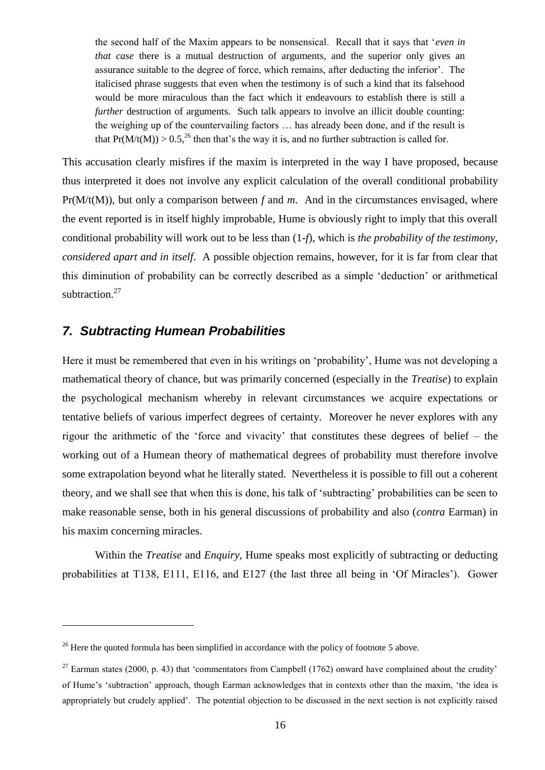the second half of the Maxim appears to be nonsensical. Recall that it says that "*even in that case* there is a mutual destruction of arguments, and the superior only gives an assurance suitable to the degree of force, which remains, after deducting the inferior". The italicised phrase suggests that even when the testimony is of such a kind that its falsehood would be more miraculous than the fact which it endeavours to establish there is still a *further* destruction of arguments. Such talk appears to involve an illicit double counting: the weighing up of the countervailing factors … has already been done, and if the result is that  $Pr(M/t(M)) > 0.5^{26}$  then that's the way it is, and no further subtraction is called for.

This accusation clearly misfires if the maxim is interpreted in the way I have proposed, because thus interpreted it does not involve any explicit calculation of the overall conditional probability Pr(M/t(M)), but only a comparison between *f* and *m*. And in the circumstances envisaged, where the event reported is in itself highly improbable, Hume is obviously right to imply that this overall conditional probability will work out to be less than (1-*f*), which is *the probability of the testimony, considered apart and in itself*. A possible objection remains, however, for it is far from clear that this diminution of probability can be correctly described as a simple "deduction" or arithmetical subtraction.<sup>27</sup>

### *7. Subtracting Humean Probabilities*

 $\overline{a}$ 

Here it must be remembered that even in his writings on "probability", Hume was not developing a mathematical theory of chance, but was primarily concerned (especially in the *Treatise*) to explain the psychological mechanism whereby in relevant circumstances we acquire expectations or tentative beliefs of various imperfect degrees of certainty. Moreover he never explores with any rigour the arithmetic of the "force and vivacity" that constitutes these degrees of belief – the working out of a Humean theory of mathematical degrees of probability must therefore involve some extrapolation beyond what he literally stated. Nevertheless it is possible to fill out a coherent theory, and we shall see that when this is done, his talk of "subtracting" probabilities can be seen to make reasonable sense, both in his general discussions of probability and also (*contra* Earman) in his maxim concerning miracles.

Within the *Treatise* and *Enquiry*, Hume speaks most explicitly of subtracting or deducting probabilities at T138, E111, E116, and E127 (the last three all being in "Of Miracles"). Gower

<sup>&</sup>lt;sup>26</sup> Here the quoted formula has been simplified in accordance with the policy of footnote [5](#page-3-0) above.

<sup>&</sup>lt;sup>27</sup> Earman states (2000, p. 43) that 'commentators from Campbell (1762) onward have complained about the crudity' of Hume"s "subtraction" approach, though Earman acknowledges that in contexts other than the maxim, "the idea is appropriately but crudely applied". The potential objection to be discussed in the next section is not explicitly raised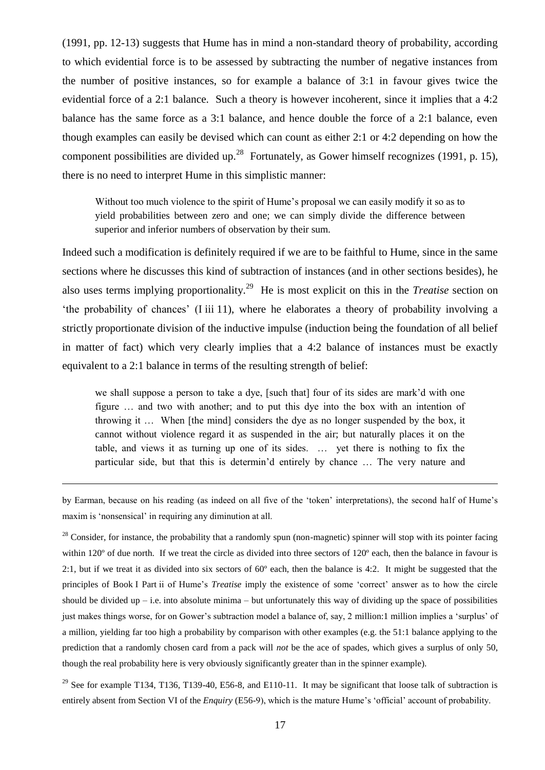(1991, pp. 12-13) suggests that Hume has in mind a non-standard theory of probability, according to which evidential force is to be assessed by subtracting the number of negative instances from the number of positive instances, so for example a balance of 3:1 in favour gives twice the evidential force of a 2:1 balance. Such a theory is however incoherent, since it implies that a 4:2 balance has the same force as a 3:1 balance, and hence double the force of a 2:1 balance, even though examples can easily be devised which can count as either 2:1 or 4:2 depending on how the component possibilities are divided up.<sup>28</sup> Fortunately, as Gower himself recognizes (1991, p. 15), there is no need to interpret Hume in this simplistic manner:

Without too much violence to the spirit of Hume's proposal we can easily modify it so as to yield probabilities between zero and one; we can simply divide the difference between superior and inferior numbers of observation by their sum.

Indeed such a modification is definitely required if we are to be faithful to Hume, since in the same sections where he discusses this kind of subtraction of instances (and in other sections besides), he also uses terms implying proportionality.<sup>29</sup> He is most explicit on this in the *Treatise* section on "the probability of chances" (I iii 11), where he elaborates a theory of probability involving a strictly proportionate division of the inductive impulse (induction being the foundation of all belief in matter of fact) which very clearly implies that a 4:2 balance of instances must be exactly equivalent to a 2:1 balance in terms of the resulting strength of belief:

we shall suppose a person to take a dye, [such that] four of its sides are mark"d with one figure … and two with another; and to put this dye into the box with an intention of throwing it … When [the mind] considers the dye as no longer suspended by the box, it cannot without violence regard it as suspended in the air; but naturally places it on the table, and views it as turning up one of its sides. … yet there is nothing to fix the particular side, but that this is determin"d entirely by chance … The very nature and

by Earman, because on his reading (as indeed on all five of the "token" interpretations), the second half of Hume"s maxim is 'nonsensical' in requiring any diminution at all.

 $\overline{a}$ 

 $28$  Consider, for instance, the probability that a randomly spun (non-magnetic) spinner will stop with its pointer facing within 120º of due north. If we treat the circle as divided into three sectors of 120º each, then the balance in favour is 2:1, but if we treat it as divided into six sectors of  $60^\circ$  each, then the balance is 4:2. It might be suggested that the principles of Book I Part ii of Hume's *Treatise* imply the existence of some 'correct' answer as to how the circle should be divided up  $-$  i.e. into absolute minima  $-$  but unfortunately this way of dividing up the space of possibilities just makes things worse, for on Gower's subtraction model a balance of, say, 2 million:1 million implies a 'surplus' of a million, yielding far too high a probability by comparison with other examples (e.g. the 51:1 balance applying to the prediction that a randomly chosen card from a pack will *not* be the ace of spades, which gives a surplus of only 50, though the real probability here is very obviously significantly greater than in the spinner example).

<sup>29</sup> See for example T134, T136, T139-40, E56-8, and E110-11. It may be significant that loose talk of subtraction is entirely absent from Section VI of the *Enquiry* (E56-9), which is the mature Hume's 'official' account of probability.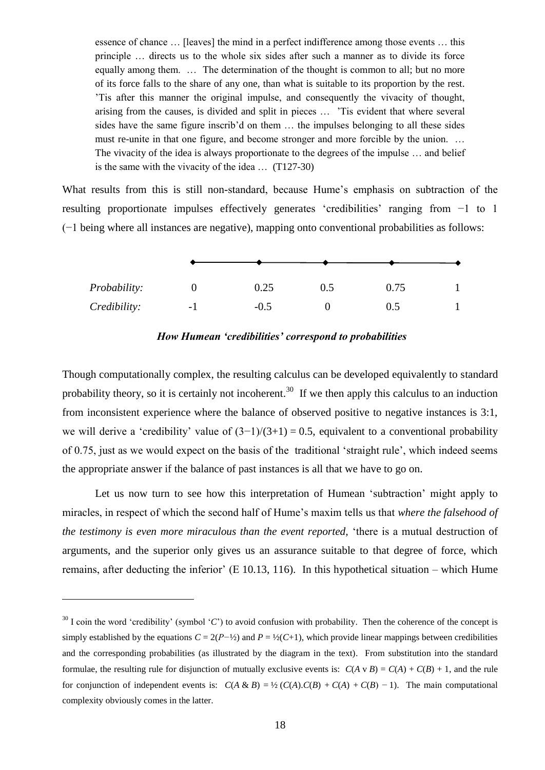essence of chance … [leaves] the mind in a perfect indifference among those events … this principle … directs us to the whole six sides after such a manner as to divide its force equally among them. … The determination of the thought is common to all; but no more of its force falls to the share of any one, than what is suitable to its proportion by the rest. "Tis after this manner the original impulse, and consequently the vivacity of thought, arising from the causes, is divided and split in pieces … "Tis evident that where several sides have the same figure inscrib"d on them … the impulses belonging to all these sides must re-unite in that one figure, and become stronger and more forcible by the union. … The vivacity of the idea is always proportionate to the degrees of the impulse … and belief is the same with the vivacity of the idea … (T127-30)

What results from this is still non-standard, because Hume's emphasis on subtraction of the resulting proportionate impulses effectively generates "credibilities" ranging from −1 to 1 (−1 being where all instances are negative), mapping onto conventional probabilities as follows:

| Probability: |      | 0.25   | 0.5 | 0.75 |  |  |
|--------------|------|--------|-----|------|--|--|
| Credibility: | $-1$ | $-0.5$ |     | 0.5  |  |  |

*How Humean 'credibilities' correspond to probabilities*

Though computationally complex, the resulting calculus can be developed equivalently to standard probability theory, so it is certainly not incoherent.<sup>30</sup> If we then apply this calculus to an induction from inconsistent experience where the balance of observed positive to negative instances is 3:1, we will derive a 'credibility' value of  $(3-1)/(3+1) = 0.5$ , equivalent to a conventional probability of 0.75, just as we would expect on the basis of the traditional "straight rule", which indeed seems the appropriate answer if the balance of past instances is all that we have to go on.

Let us now turn to see how this interpretation of Humean "subtraction" might apply to miracles, in respect of which the second half of Hume"s maxim tells us that *where the falsehood of the testimony is even more miraculous than the event reported,* "there is a mutual destruction of arguments, and the superior only gives us an assurance suitable to that degree of force, which remains, after deducting the inferior'  $(E 10.13, 116)$ . In this hypothetical situation – which Hume

 $30$  I coin the word 'credibility' (symbol 'C') to avoid confusion with probability. Then the coherence of the concept is simply established by the equations  $C = 2(P^{-1/2})$  and  $P = \frac{1}{2}(C+1)$ , which provide linear mappings between credibilities and the corresponding probabilities (as illustrated by the diagram in the text). From substitution into the standard formulae, the resulting rule for disjunction of mutually exclusive events is:  $C(A \vee B) = C(A) + C(B) + 1$ , and the rule for conjunction of independent events is:  $C(A \& B) = \frac{1}{2}(C(A).C(B) + C(A) + C(B) - 1)$ . The main computational complexity obviously comes in the latter.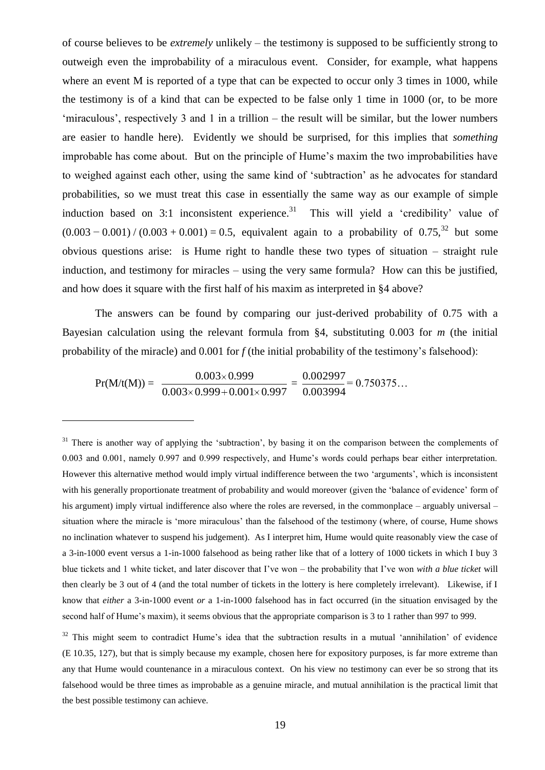of course believes to be *extremely* unlikely – the testimony is supposed to be sufficiently strong to outweigh even the improbability of a miraculous event. Consider, for example, what happens where an event M is reported of a type that can be expected to occur only 3 times in 1000, while the testimony is of a kind that can be expected to be false only 1 time in 1000 (or, to be more "miraculous", respectively 3 and 1 in a trillion – the result will be similar, but the lower numbers are easier to handle here). Evidently we should be surprised, for this implies that *something* improbable has come about. But on the principle of Hume"s maxim the two improbabilities have to weighed against each other, using the same kind of "subtraction" as he advocates for standard probabilities, so we must treat this case in essentially the same way as our example of simple induction based on 3:1 inconsistent experience.<sup>31</sup> This will yield a 'credibility' value of  $(0.003 - 0.001) / (0.003 + 0.001) = 0.5$ , equivalent again to a probability of 0.75,<sup>32</sup> but some obvious questions arise: is Hume right to handle these two types of situation – straight rule induction, and testimony for miracles – using the very same formula? How can this be justified, and how does it square with the first half of his maxim as interpreted in §4 above?

The answers can be found by comparing our just-derived probability of 0.75 with a Bayesian calculation using the relevant formula from §4, substituting 0.003 for *m* (the initial probability of the miracle) and 0.001 for *f* (the initial probability of the testimony's falsehood):

$$
Pr(M/t(M)) = \frac{0.003 \times 0.999}{0.003 \times 0.999 + 0.001 \times 0.997} = \frac{0.002997}{0.003994} = 0.750375...
$$

 $\overline{a}$ 

<sup>31</sup> There is another way of applying the 'subtraction', by basing it on the comparison between the complements of 0.003 and 0.001, namely 0.997 and 0.999 respectively, and Hume's words could perhaps bear either interpretation. However this alternative method would imply virtual indifference between the two "arguments", which is inconsistent with his generally proportionate treatment of probability and would moreover (given the 'balance of evidence' form of his argument) imply virtual indifference also where the roles are reversed, in the commonplace – arguably universal – situation where the miracle is 'more miraculous' than the falsehood of the testimony (where, of course, Hume shows no inclination whatever to suspend his judgement). As I interpret him, Hume would quite reasonably view the case of a 3-in-1000 event versus a 1-in-1000 falsehood as being rather like that of a lottery of 1000 tickets in which I buy 3 blue tickets and 1 white ticket, and later discover that I"ve won – the probability that I"ve won *with a blue ticket* will then clearly be 3 out of 4 (and the total number of tickets in the lottery is here completely irrelevant). Likewise, if I know that *either* a 3-in-1000 event *or* a 1-in-1000 falsehood has in fact occurred (in the situation envisaged by the second half of Hume's maxim), it seems obvious that the appropriate comparison is 3 to 1 rather than 997 to 999.

<sup>32</sup> This might seem to contradict Hume's idea that the subtraction results in a mutual 'annihilation' of evidence (E 10.35, 127), but that is simply because my example, chosen here for expository purposes, is far more extreme than any that Hume would countenance in a miraculous context. On his view no testimony can ever be so strong that its falsehood would be three times as improbable as a genuine miracle, and mutual annihilation is the practical limit that the best possible testimony can achieve.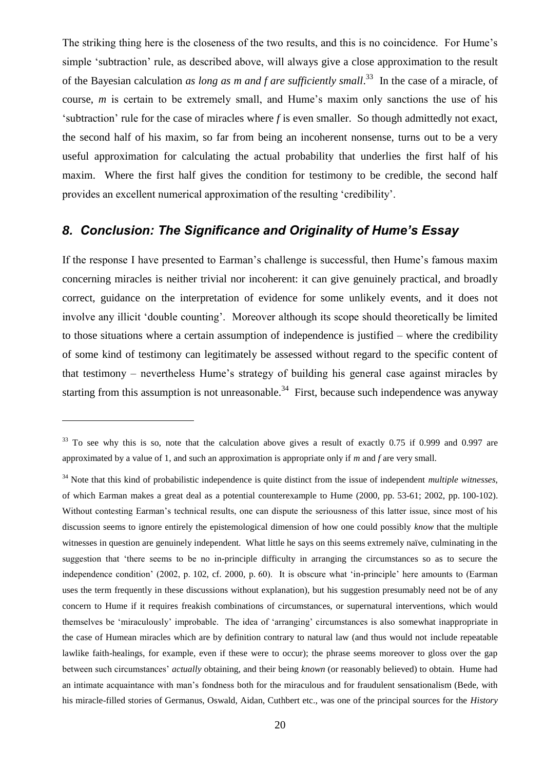The striking thing here is the closeness of the two results, and this is no coincidence. For Hume"s simple 'subtraction' rule, as described above, will always give a close approximation to the result of the Bayesian calculation *as long as m and f are sufficiently small*.<sup>33</sup> In the case of a miracle, of course, *m* is certain to be extremely small, and Hume's maxim only sanctions the use of his "subtraction" rule for the case of miracles where *f* is even smaller. So though admittedly not exact, the second half of his maxim, so far from being an incoherent nonsense, turns out to be a very useful approximation for calculating the actual probability that underlies the first half of his maxim. Where the first half gives the condition for testimony to be credible, the second half provides an excellent numerical approximation of the resulting "credibility".

### *8. Conclusion: The Significance and Originality of Hume's Essay*

If the response I have presented to Earman's challenge is successful, then Hume's famous maxim concerning miracles is neither trivial nor incoherent: it can give genuinely practical, and broadly correct, guidance on the interpretation of evidence for some unlikely events, and it does not involve any illicit 'double counting'. Moreover although its scope should theoretically be limited to those situations where a certain assumption of independence is justified – where the credibility of some kind of testimony can legitimately be assessed without regard to the specific content of that testimony – nevertheless Hume's strategy of building his general case against miracles by starting from this assumption is not unreasonable.<sup>34</sup> First, because such independence was anyway

 $33$  To see why this is so, note that the calculation above gives a result of exactly 0.75 if 0.999 and 0.997 are approximated by a value of 1, and such an approximation is appropriate only if *m* and *f* are very small.

<sup>34</sup> Note that this kind of probabilistic independence is quite distinct from the issue of independent *multiple witnesses*, of which Earman makes a great deal as a potential counterexample to Hume (2000, pp. 53-61; 2002, pp. 100-102). Without contesting Earman"s technical results, one can dispute the seriousness of this latter issue, since most of his discussion seems to ignore entirely the epistemological dimension of how one could possibly *know* that the multiple witnesses in question are genuinely independent. What little he says on this seems extremely naïve, culminating in the suggestion that "there seems to be no in-principle difficulty in arranging the circumstances so as to secure the independence condition" (2002, p. 102, cf. 2000, p. 60). It is obscure what "in-principle" here amounts to (Earman uses the term frequently in these discussions without explanation), but his suggestion presumably need not be of any concern to Hume if it requires freakish combinations of circumstances, or supernatural interventions, which would themselves be "miraculously" improbable. The idea of "arranging" circumstances is also somewhat inappropriate in the case of Humean miracles which are by definition contrary to natural law (and thus would not include repeatable lawlike faith-healings, for example, even if these were to occur); the phrase seems moreover to gloss over the gap between such circumstances" *actually* obtaining, and their being *known* (or reasonably believed) to obtain. Hume had an intimate acquaintance with man"s fondness both for the miraculous and for fraudulent sensationalism (Bede, with his miracle-filled stories of Germanus, Oswald, Aidan, Cuthbert etc., was one of the principal sources for the *History*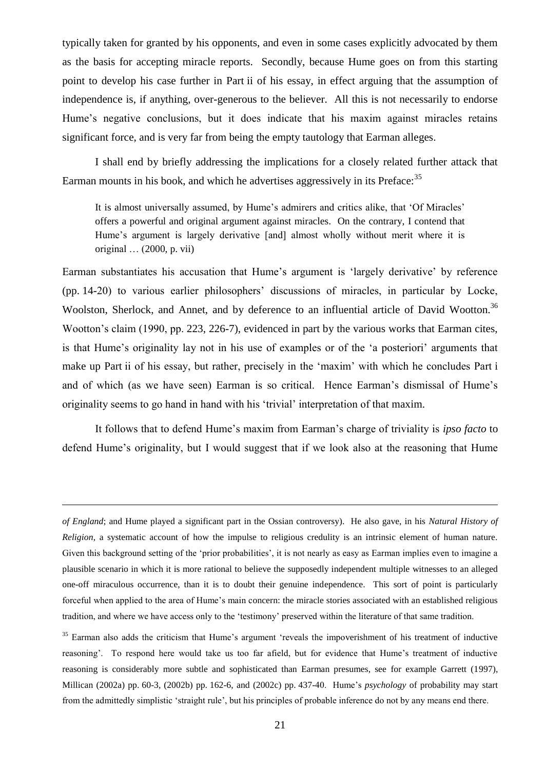typically taken for granted by his opponents, and even in some cases explicitly advocated by them as the basis for accepting miracle reports. Secondly, because Hume goes on from this starting point to develop his case further in Part ii of his essay, in effect arguing that the assumption of independence is, if anything, over-generous to the believer. All this is not necessarily to endorse Hume"s negative conclusions, but it does indicate that his maxim against miracles retains significant force, and is very far from being the empty tautology that Earman alleges.

I shall end by briefly addressing the implications for a closely related further attack that Earman mounts in his book, and which he advertises aggressively in its Preface:<sup>35</sup>

It is almost universally assumed, by Hume's admirers and critics alike, that 'Of Miracles' offers a powerful and original argument against miracles. On the contrary, I contend that Hume's argument is largely derivative [and] almost wholly without merit where it is original … (2000, p. vii)

Earman substantiates his accusation that Hume"s argument is "largely derivative" by reference (pp. 14-20) to various earlier philosophers" discussions of miracles, in particular by Locke, Woolston, Sherlock, and Annet, and by deference to an influential article of David Wootton.<sup>36</sup> Wootton's claim (1990, pp. 223, 226-7), evidenced in part by the various works that Earman cites, is that Hume's originality lay not in his use of examples or of the 'a posteriori' arguments that make up Part ii of his essay, but rather, precisely in the "maxim" with which he concludes Part i and of which (as we have seen) Earman is so critical. Hence Earman"s dismissal of Hume"s originality seems to go hand in hand with his "trivial" interpretation of that maxim.

It follows that to defend Hume"s maxim from Earman"s charge of triviality is *ipso facto* to defend Hume"s originality, but I would suggest that if we look also at the reasoning that Hume

*of England*; and Hume played a significant part in the Ossian controversy). He also gave, in his *Natural History of Religion*, a systematic account of how the impulse to religious credulity is an intrinsic element of human nature. Given this background setting of the 'prior probabilities', it is not nearly as easy as Earman implies even to imagine a plausible scenario in which it is more rational to believe the supposedly independent multiple witnesses to an alleged one-off miraculous occurrence, than it is to doubt their genuine independence. This sort of point is particularly forceful when applied to the area of Hume"s main concern: the miracle stories associated with an established religious tradition, and where we have access only to the "testimony" preserved within the literature of that same tradition.

<sup>&</sup>lt;sup>35</sup> Earman also adds the criticism that Hume's argument 'reveals the impoverishment of his treatment of inductive reasoning". To respond here would take us too far afield, but for evidence that Hume"s treatment of inductive reasoning is considerably more subtle and sophisticated than Earman presumes, see for example Garrett (1997), Millican (2002a) pp. 60-3, (2002b) pp. 162-6, and (2002c) pp. 437-40. Hume"s *psychology* of probability may start from the admittedly simplistic "straight rule", but his principles of probable inference do not by any means end there.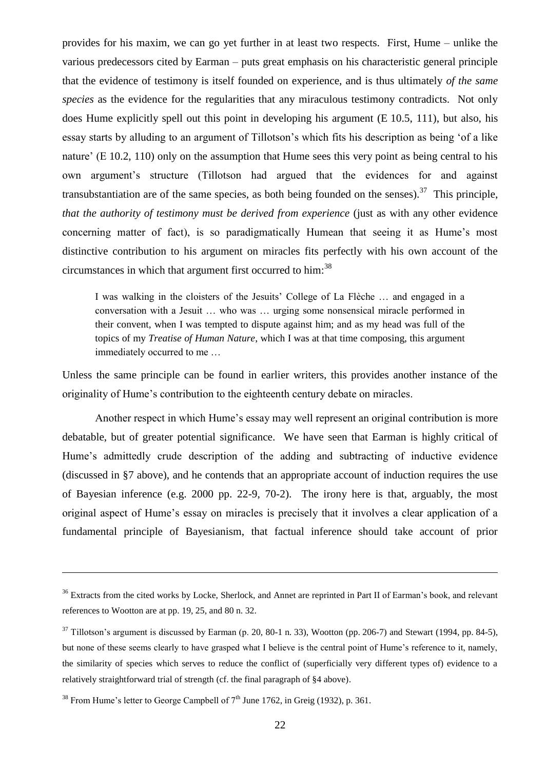provides for his maxim, we can go yet further in at least two respects. First, Hume – unlike the various predecessors cited by Earman – puts great emphasis on his characteristic general principle that the evidence of testimony is itself founded on experience, and is thus ultimately *of the same species* as the evidence for the regularities that any miraculous testimony contradicts. Not only does Hume explicitly spell out this point in developing his argument (E 10.5, 111), but also, his essay starts by alluding to an argument of Tillotson"s which fits his description as being "of a like nature' (E 10.2, 110) only on the assumption that Hume sees this very point as being central to his own argument"s structure (Tillotson had argued that the evidences for and against transubstantiation are of the same species, as both being founded on the senses).<sup>37</sup> This principle, *that the authority of testimony must be derived from experience* (just as with any other evidence concerning matter of fact), is so paradigmatically Humean that seeing it as Hume"s most distinctive contribution to his argument on miracles fits perfectly with his own account of the circumstances in which that argument first occurred to him: $^{38}$ 

I was walking in the cloisters of the Jesuits" College of La Flèche … and engaged in a conversation with a Jesuit … who was … urging some nonsensical miracle performed in their convent, when I was tempted to dispute against him; and as my head was full of the topics of my *Treatise of Human Nature*, which I was at that time composing, this argument immediately occurred to me …

Unless the same principle can be found in earlier writers, this provides another instance of the originality of Hume's contribution to the eighteenth century debate on miracles.

Another respect in which Hume"s essay may well represent an original contribution is more debatable, but of greater potential significance. We have seen that Earman is highly critical of Hume"s admittedly crude description of the adding and subtracting of inductive evidence (discussed in §7 above), and he contends that an appropriate account of induction requires the use of Bayesian inference (e.g. 2000 pp. 22-9, 70-2). The irony here is that, arguably, the most original aspect of Hume"s essay on miracles is precisely that it involves a clear application of a fundamental principle of Bayesianism, that factual inference should take account of prior

<sup>&</sup>lt;sup>36</sup> Extracts from the cited works by Locke, Sherlock, and Annet are reprinted in Part II of Earman's book, and relevant references to Wootton are at pp. 19, 25, and 80 n. 32.

 $37$  Tillotson's argument is discussed by Earman (p. 20, 80-1 n. 33), Wootton (pp. 206-7) and Stewart (1994, pp. 84-5), but none of these seems clearly to have grasped what I believe is the central point of Hume's reference to it, namely, the similarity of species which serves to reduce the conflict of (superficially very different types of) evidence to a relatively straightforward trial of strength (cf. the final paragraph of §4 above).

<sup>&</sup>lt;sup>38</sup> From Hume's letter to George Campbell of  $7<sup>th</sup>$  June 1762, in Greig (1932), p. 361.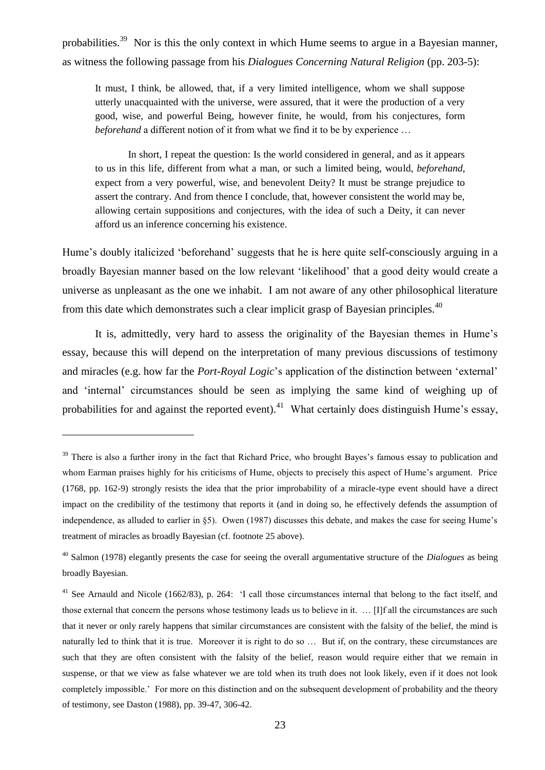probabilities.<sup>39</sup> Nor is this the only context in which Hume seems to argue in a Bayesian manner, as witness the following passage from his *Dialogues Concerning Natural Religion* (pp. 203-5):

It must, I think, be allowed, that, if a very limited intelligence, whom we shall suppose utterly unacquainted with the universe, were assured, that it were the production of a very good, wise, and powerful Being, however finite, he would, from his conjectures, form *beforehand* a different notion of it from what we find it to be by experience …

In short, I repeat the question: Is the world considered in general, and as it appears to us in this life, different from what a man, or such a limited being, would, *beforehand*, expect from a very powerful, wise, and benevolent Deity? It must be strange prejudice to assert the contrary. And from thence I conclude, that, however consistent the world may be, allowing certain suppositions and conjectures, with the idea of such a Deity, it can never afford us an inference concerning his existence.

Hume"s doubly italicized "beforehand" suggests that he is here quite self-consciously arguing in a broadly Bayesian manner based on the low relevant "likelihood" that a good deity would create a universe as unpleasant as the one we inhabit. I am not aware of any other philosophical literature from this date which demonstrates such a clear implicit grasp of Bayesian principles. $40$ 

It is, admittedly, very hard to assess the originality of the Bayesian themes in Hume"s essay, because this will depend on the interpretation of many previous discussions of testimony and miracles (e.g. how far the *Port-Royal Logic*"s application of the distinction between "external" and "internal" circumstances should be seen as implying the same kind of weighing up of probabilities for and against the reported event).<sup>41</sup> What certainly does distinguish Hume's essay,

<sup>&</sup>lt;sup>39</sup> There is also a further irony in the fact that Richard Price, who brought Bayes's famous essay to publication and whom Earman praises highly for his criticisms of Hume, objects to precisely this aspect of Hume's argument. Price (1768, pp. 162-9) strongly resists the idea that the prior improbability of a miracle-type event should have a direct impact on the credibility of the testimony that reports it (and in doing so, he effectively defends the assumption of independence, as alluded to earlier in §5). Owen (1987) discusses this debate, and makes the case for seeing Hume"s treatment of miracles as broadly Bayesian (cf. footnote [25](#page-15-0) above).

<sup>40</sup> Salmon (1978) elegantly presents the case for seeing the overall argumentative structure of the *Dialogues* as being broadly Bayesian.

<sup>&</sup>lt;sup>41</sup> See Arnauld and Nicole (1662/83), p. 264: 'I call those circumstances internal that belong to the fact itself, and those external that concern the persons whose testimony leads us to believe in it. … [I]f all the circumstances are such that it never or only rarely happens that similar circumstances are consistent with the falsity of the belief, the mind is naturally led to think that it is true. Moreover it is right to do so … But if, on the contrary, these circumstances are such that they are often consistent with the falsity of the belief, reason would require either that we remain in suspense, or that we view as false whatever we are told when its truth does not look likely, even if it does not look completely impossible." For more on this distinction and on the subsequent development of probability and the theory of testimony, see Daston (1988), pp. 39-47, 306-42.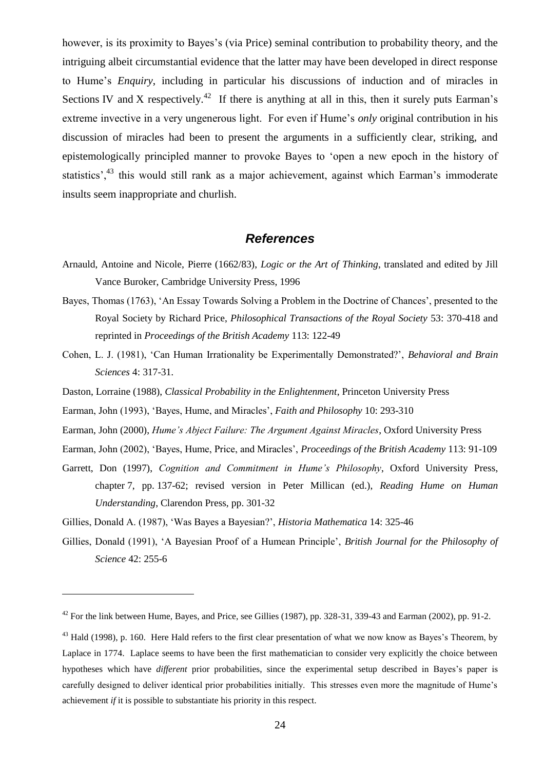however, is its proximity to Bayes's (via Price) seminal contribution to probability theory, and the intriguing albeit circumstantial evidence that the latter may have been developed in direct response to Hume"s *Enquiry*, including in particular his discussions of induction and of miracles in Sections IV and X respectively.<sup>42</sup> If there is anything at all in this, then it surely puts Earman's extreme invective in a very ungenerous light. For even if Hume's *only* original contribution in his discussion of miracles had been to present the arguments in a sufficiently clear, striking, and epistemologically principled manner to provoke Bayes to "open a new epoch in the history of statistics',<sup>43</sup> this would still rank as a major achievement, against which Earman's immoderate insults seem inappropriate and churlish.

#### *References*

- Arnauld, Antoine and Nicole, Pierre (1662/83), *Logic or the Art of Thinking*, translated and edited by Jill Vance Buroker, Cambridge University Press, 1996
- Bayes, Thomas (1763), "An Essay Towards Solving a Problem in the Doctrine of Chances", presented to the Royal Society by Richard Price, *Philosophical Transactions of the Royal Society* 53: 370-418 and reprinted in *Proceedings of the British Academy* 113: 122-49
- Cohen, L. J. (1981), "Can Human Irrationality be Experimentally Demonstrated?", *Behavioral and Brain Sciences* 4: 317-31.
- Daston, Lorraine (1988), *Classical Probability in the Enlightenment*, Princeton University Press
- Earman, John (1993), "Bayes, Hume, and Miracles", *Faith and Philosophy* 10: 293-310
- Earman, John (2000), *Hume's Abject Failure: The Argument Against Miracles*, Oxford University Press
- Earman, John (2002), "Bayes, Hume, Price, and Miracles", *Proceedings of the British Academy* 113: 91-109
- Garrett, Don (1997), *Cognition and Commitment in Hume's Philosophy*, Oxford University Press, chapter 7, pp. 137-62; revised version in Peter Millican (ed.), *Reading Hume on Human Understanding*, Clarendon Press, pp. 301-32
- Gillies, Donald A. (1987), "Was Bayes a Bayesian?", *Historia Mathematica* 14: 325-46

 $\overline{a}$ 

Gillies, Donald (1991), "A Bayesian Proof of a Humean Principle", *British Journal for the Philosophy of Science* 42: 255-6

<sup>&</sup>lt;sup>42</sup> For the link between Hume, Bayes, and Price, see Gillies (1987), pp. 328-31, 339-43 and Earman (2002), pp. 91-2.

 $^{43}$  Hald (1998), p. 160. Here Hald refers to the first clear presentation of what we now know as Bayes's Theorem, by Laplace in 1774. Laplace seems to have been the first mathematician to consider very explicitly the choice between hypotheses which have *different* prior probabilities, since the experimental setup described in Bayes"s paper is carefully designed to deliver identical prior probabilities initially. This stresses even more the magnitude of Hume"s achievement *if* it is possible to substantiate his priority in this respect.